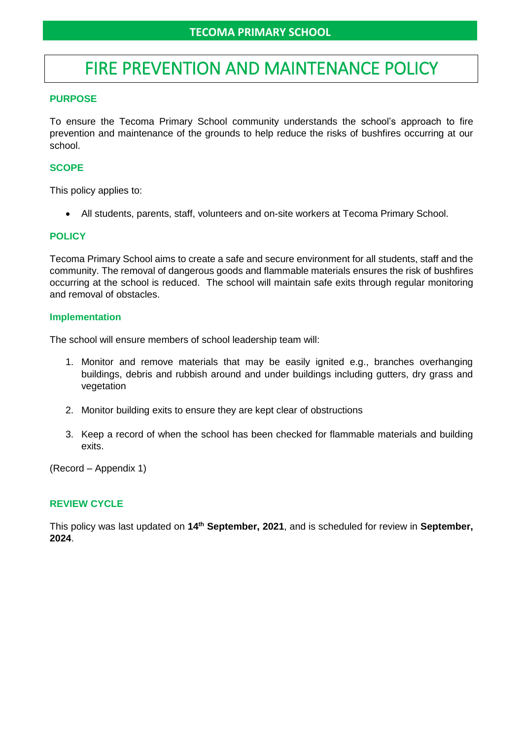# FIRE PREVENTION AND MAINTENANCE POLICY

# **PURPOSE**

To ensure the Tecoma Primary School community understands the school's approach to fire prevention and maintenance of the grounds to help reduce the risks of bushfires occurring at our school.

# **SCOPE**

This policy applies to:

• All students, parents, staff, volunteers and on-site workers at Tecoma Primary School.

# **POLICY**

Tecoma Primary School aims to create a safe and secure environment for all students, staff and the community. The removal of dangerous goods and flammable materials ensures the risk of bushfires occurring at the school is reduced. The school will maintain safe exits through regular monitoring and removal of obstacles.

#### **Implementation**

The school will ensure members of school leadership team will:

- 1. Monitor and remove materials that may be easily ignited e.g., branches overhanging buildings, debris and rubbish around and under buildings including gutters, dry grass and vegetation
- 2. Monitor building exits to ensure they are kept clear of obstructions
- 3. Keep a record of when the school has been checked for flammable materials and building exits.

(Record – Appendix 1)

### **REVIEW CYCLE**

This policy was last updated on **14th September, 2021**, and is scheduled for review in **September, 2024**.